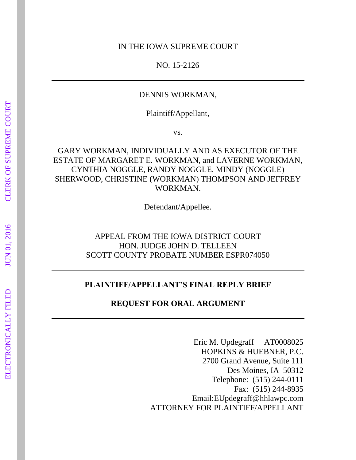#### IN THE IOWA SUPREME COURT

NO. 15-2126

## DENNIS WORKMAN,

Plaintiff/Appellant,

vs.

GARY WORKMAN, INDIVIDUALLY AND AS EXECUTOR OF THE ESTATE OF MARGARET E. WORKMAN, and LAVERNE WORKMAN, CYNTHIA NOGGLE, RANDY NOGGLE, MINDY (NOGGLE) SHERWOOD, CHRISTINE (WORKMAN) THOMPSON AND JEFFREY WORKMAN.

Defendant/Appellee.

# APPEAL FROM THE IOWA DISTRICT COURT HON. JUDGE JOHN D. TELLEEN SCOTT COUNTY PROBATE NUMBER ESPR074050

#### **PLAINTIFF/APPELLANT'S FINAL REPLY BRIEF**

**REQUEST FOR ORAL ARGUMENT** 

Eric M. Updegraff AT0008025 HOPKINS & HUEBNER, P.C. 2700 Grand Avenue, Suite 111 Des Moines, IA 50312 Telephone: (515) 244-0111 Fax: (515) 244-8935 Email[:EUpdegraff@hhlawpc.com](mailto:EUpdegraff@hhlawpc.com) ATTORNEY FOR PLAINTIFF/APPELLANT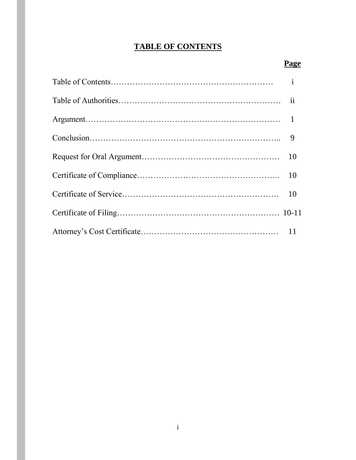# **TABLE OF CONTENTS**

# **Page**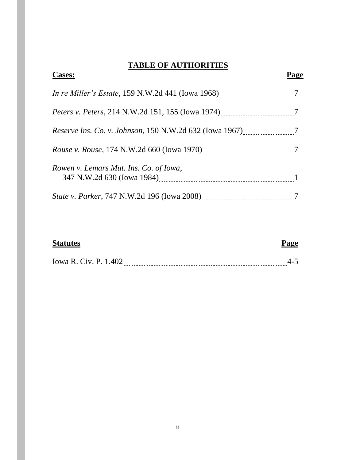# **TABLE OF AUTHORITIES**

| <b>Cases:</b>                                                    |  |
|------------------------------------------------------------------|--|
| <i>In re Miller's Estate</i> , 159 N.W.2d 441 (Iowa 1968)        |  |
| <i>Peters v. Peters, 214 N.W.2d 151, 155 (Iowa 1974)</i>         |  |
| <i>Reserve Ins. Co. v. Johnson, 150 N.W.2d 632 (Iowa 1967)</i> 7 |  |
|                                                                  |  |
| Rowen v. Lemars Mut. Ins. Co. of Iowa,                           |  |
|                                                                  |  |

# **Statutes Page**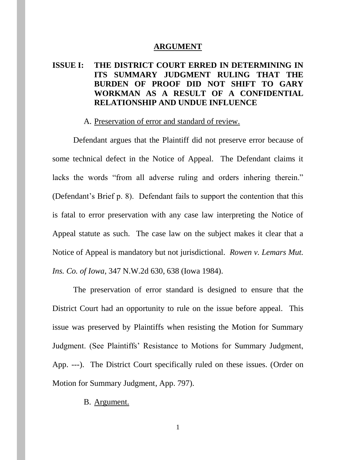#### **ARGUMENT**

# **ISSUE I: THE DISTRICT COURT ERRED IN DETERMINING IN ITS SUMMARY JUDGMENT RULING THAT THE BURDEN OF PROOF DID NOT SHIFT TO GARY WORKMAN AS A RESULT OF A CONFIDENTIAL RELATIONSHIP AND UNDUE INFLUENCE**

#### A. Preservation of error and standard of review.

Defendant argues that the Plaintiff did not preserve error because of some technical defect in the Notice of Appeal. The Defendant claims it lacks the words "from all adverse ruling and orders inhering therein." (Defendant's Brief p. 8). Defendant fails to support the contention that this is fatal to error preservation with any case law interpreting the Notice of Appeal statute as such. The case law on the subject makes it clear that a Notice of Appeal is mandatory but not jurisdictional. *Rowen v. Lemars Mut. Ins. Co. of Iowa*, 347 N.W.2d 630, 638 (Iowa 1984).

The preservation of error standard is designed to ensure that the District Court had an opportunity to rule on the issue before appeal. This issue was preserved by Plaintiffs when resisting the Motion for Summary Judgment. (See Plaintiffs' Resistance to Motions for Summary Judgment, App. ---). The District Court specifically ruled on these issues. (Order on Motion for Summary Judgment, App. 797).

#### B. Argument.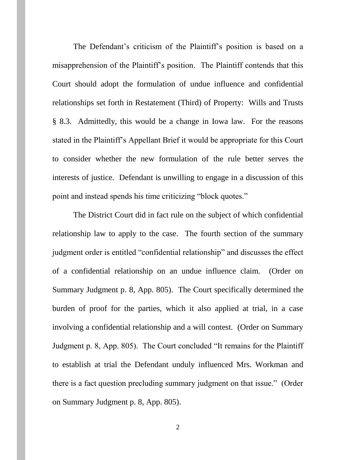The Defendant's criticism of the Plaintiff's position is based on a misapprehension of the Plaintiff's position. The Plaintiff contends that this Court should adopt the formulation of undue influence and confidential relationships set forth in Restatement (Third) of Property: Wills and Trusts § 8.3. Admittedly, this would be a change in Iowa law. For the reasons stated in the Plaintiff's Appellant Brief it would be appropriate for this Court to consider whether the new formulation of the rule better serves the interests of justice. Defendant is unwilling to engage in a discussion of this point and instead spends his time criticizing "block quotes."

The District Court did in fact rule on the subject of which confidential relationship law to apply to the case. The fourth section of the summary judgment order is entitled "confidential relationship" and discusses the effect of a confidential relationship on an undue influence claim. (Order on Summary Judgment p. 8, App. 805). The Court specifically determined the burden of proof for the parties, which it also applied at trial, in a case involving a confidential relationship and a will contest. (Order on Summary Judgment p. 8, App. 805). The Court concluded "It remains for the Plaintiff to establish at trial the Defendant unduly influenced Mrs. Workman and there is a fact question precluding summary judgment on that issue." (Order on Summary Judgment p. 8, App. 805).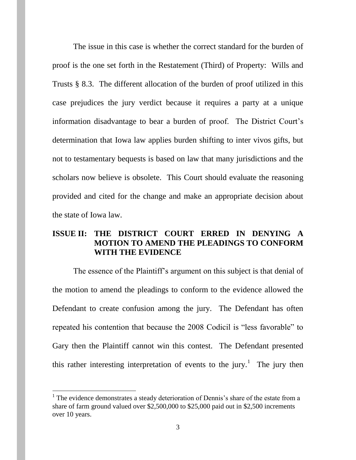The issue in this case is whether the correct standard for the burden of proof is the one set forth in the Restatement (Third) of Property: Wills and Trusts § 8.3. The different allocation of the burden of proof utilized in this case prejudices the jury verdict because it requires a party at a unique information disadvantage to bear a burden of proof. The District Court's determination that Iowa law applies burden shifting to inter vivos gifts, but not to testamentary bequests is based on law that many jurisdictions and the scholars now believe is obsolete. This Court should evaluate the reasoning provided and cited for the change and make an appropriate decision about the state of Iowa law.

## **ISSUE II: THE DISTRICT COURT ERRED IN DENYING A MOTION TO AMEND THE PLEADINGS TO CONFORM WITH THE EVIDENCE**

The essence of the Plaintiff's argument on this subject is that denial of the motion to amend the pleadings to conform to the evidence allowed the Defendant to create confusion among the jury. The Defendant has often repeated his contention that because the 2008 Codicil is "less favorable" to Gary then the Plaintiff cannot win this contest. The Defendant presented this rather interesting interpretation of events to the jury.<sup>1</sup> The jury then

 $\overline{a}$ 

 $<sup>1</sup>$  The evidence demonstrates a steady deterioration of Dennis's share of the estate from a</sup> share of farm ground valued over \$2,500,000 to \$25,000 paid out in \$2,500 increments over 10 years.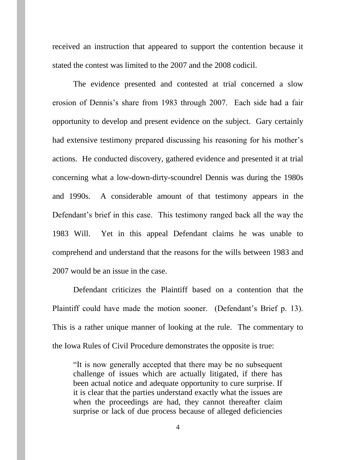received an instruction that appeared to support the contention because it stated the contest was limited to the 2007 and the 2008 codicil.

The evidence presented and contested at trial concerned a slow erosion of Dennis's share from 1983 through 2007. Each side had a fair opportunity to develop and present evidence on the subject. Gary certainly had extensive testimony prepared discussing his reasoning for his mother's actions. He conducted discovery, gathered evidence and presented it at trial concerning what a low-down-dirty-scoundrel Dennis was during the 1980s and 1990s. A considerable amount of that testimony appears in the Defendant's brief in this case. This testimony ranged back all the way the 1983 Will. Yet in this appeal Defendant claims he was unable to comprehend and understand that the reasons for the wills between 1983 and 2007 would be an issue in the case.

Defendant criticizes the Plaintiff based on a contention that the Plaintiff could have made the motion sooner. (Defendant's Brief p. 13). This is a rather unique manner of looking at the rule. The commentary to the Iowa Rules of Civil Procedure demonstrates the opposite is true:

"It is now generally accepted that there may be no subsequent challenge of issues which are actually litigated, if there has been actual notice and adequate opportunity to cure surprise. If it is clear that the parties understand exactly what the issues are when the proceedings are had, they cannot thereafter claim surprise or lack of due process because of alleged deficiencies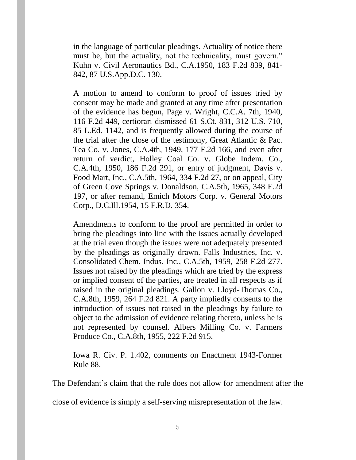in the language of particular pleadings. Actuality of notice there must be, but the actuality, not the technicality, must govern." Kuhn v. Civil Aeronautics Bd., C.A.1950, 183 F.2d 839, 841- 842, 87 U.S.App.D.C. 130.

A motion to amend to conform to proof of issues tried by consent may be made and granted at any time after presentation of the evidence has begun, Page v. Wright, C.C.A. 7th, 1940, 116 F.2d 449, certiorari dismissed 61 S.Ct. 831, 312 U.S. 710, 85 L.Ed. 1142, and is frequently allowed during the course of the trial after the close of the testimony, Great Atlantic & Pac. Tea Co. v. Jones, C.A.4th, 1949, 177 F.2d 166, and even after return of verdict, Holley Coal Co. v. Globe Indem. Co., C.A.4th, 1950, 186 F.2d 291, or entry of judgment, Davis v. Food Mart, Inc., C.A.5th, 1964, 334 F.2d 27, or on appeal, City of Green Cove Springs v. Donaldson, C.A.5th, 1965, 348 F.2d 197, or after remand, Emich Motors Corp. v. General Motors Corp., D.C.Ill.1954, 15 F.R.D. 354.

Amendments to conform to the proof are permitted in order to bring the pleadings into line with the issues actually developed at the trial even though the issues were not adequately presented by the pleadings as originally drawn. Falls Industries, Inc. v. Consolidated Chem. Indus. Inc., C.A.5th, 1959, 258 F.2d 277. Issues not raised by the pleadings which are tried by the express or implied consent of the parties, are treated in all respects as if raised in the original pleadings. Gallon v. Lloyd-Thomas Co., C.A.8th, 1959, 264 F.2d 821. A party impliedly consents to the introduction of issues not raised in the pleadings by failure to object to the admission of evidence relating thereto, unless he is not represented by counsel. Albers Milling Co. v. Farmers Produce Co., C.A.8th, 1955, 222 F.2d 915.

Iowa R. Civ. P. 1.402, comments on Enactment 1943-Former Rule 88.

The Defendant's claim that the rule does not allow for amendment after the

close of evidence is simply a self-serving misrepresentation of the law.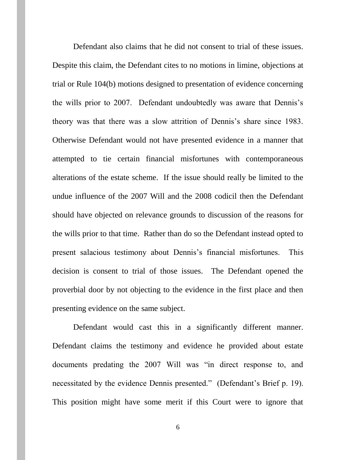Defendant also claims that he did not consent to trial of these issues. Despite this claim, the Defendant cites to no motions in limine, objections at trial or Rule 104(b) motions designed to presentation of evidence concerning the wills prior to 2007. Defendant undoubtedly was aware that Dennis's theory was that there was a slow attrition of Dennis's share since 1983. Otherwise Defendant would not have presented evidence in a manner that attempted to tie certain financial misfortunes with contemporaneous alterations of the estate scheme. If the issue should really be limited to the undue influence of the 2007 Will and the 2008 codicil then the Defendant should have objected on relevance grounds to discussion of the reasons for the wills prior to that time. Rather than do so the Defendant instead opted to present salacious testimony about Dennis's financial misfortunes. This decision is consent to trial of those issues. The Defendant opened the proverbial door by not objecting to the evidence in the first place and then presenting evidence on the same subject.

Defendant would cast this in a significantly different manner. Defendant claims the testimony and evidence he provided about estate documents predating the 2007 Will was "in direct response to, and necessitated by the evidence Dennis presented." (Defendant's Brief p. 19). This position might have some merit if this Court were to ignore that

6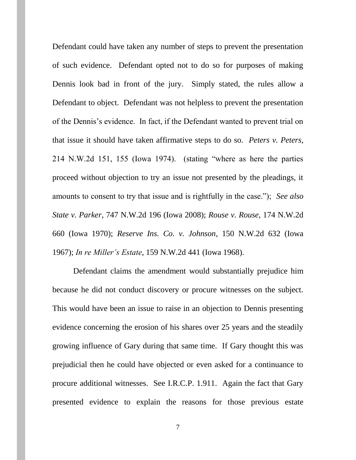Defendant could have taken any number of steps to prevent the presentation of such evidence. Defendant opted not to do so for purposes of making Dennis look bad in front of the jury. Simply stated, the rules allow a Defendant to object. Defendant was not helpless to prevent the presentation of the Dennis's evidence. In fact, if the Defendant wanted to prevent trial on that issue it should have taken affirmative steps to do so. *Peters v. Peters*, 214 N.W.2d 151, 155 (Iowa 1974). (stating "where as here the parties proceed without objection to try an issue not presented by the pleadings, it amounts to consent to try that issue and is rightfully in the case."); *See also State v. Parker*, 747 N.W.2d 196 (Iowa 2008); *Rouse v. Rouse*, 174 N.W.2d 660 (Iowa 1970); *Reserve Ins. Co. v. Johnson*, 150 N.W.2d 632 (Iowa 1967); *In re Miller's Estate*, 159 N.W.2d 441 (Iowa 1968).

Defendant claims the amendment would substantially prejudice him because he did not conduct discovery or procure witnesses on the subject. This would have been an issue to raise in an objection to Dennis presenting evidence concerning the erosion of his shares over 25 years and the steadily growing influence of Gary during that same time. If Gary thought this was prejudicial then he could have objected or even asked for a continuance to procure additional witnesses. See I.R.C.P. 1.911. Again the fact that Gary presented evidence to explain the reasons for those previous estate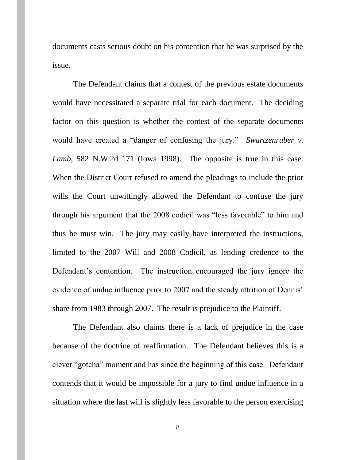documents casts serious doubt on his contention that he was surprised by the issue.

The Defendant claims that a contest of the previous estate documents would have necessitated a separate trial for each document. The deciding factor on this question is whether the contest of the separate documents would have created a "danger of confusing the jury." *Swartzenruber v. Lamb*, 582 N.W.2d 171 (Iowa 1998). The opposite is true in this case. When the District Court refused to amend the pleadings to include the prior wills the Court unwittingly allowed the Defendant to confuse the jury through his argument that the 2008 codicil was "less favorable" to him and thus he must win. The jury may easily have interpreted the instructions, limited to the 2007 Will and 2008 Codicil, as lending credence to the Defendant's contention. The instruction encouraged the jury ignore the evidence of undue influence prior to 2007 and the steady attrition of Dennis' share from 1983 through 2007. The result is prejudice to the Plaintiff.

The Defendant also claims there is a lack of prejudice in the case because of the doctrine of reaffirmation. The Defendant believes this is a clever "gotcha" moment and has since the beginning of this case. Defendant contends that it would be impossible for a jury to find undue influence in a situation where the last will is slightly less favorable to the person exercising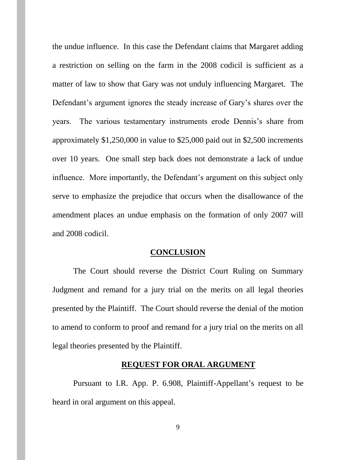the undue influence. In this case the Defendant claims that Margaret adding a restriction on selling on the farm in the 2008 codicil is sufficient as a matter of law to show that Gary was not unduly influencing Margaret. The Defendant's argument ignores the steady increase of Gary's shares over the years. The various testamentary instruments erode Dennis's share from approximately \$1,250,000 in value to \$25,000 paid out in \$2,500 increments over 10 years. One small step back does not demonstrate a lack of undue influence. More importantly, the Defendant's argument on this subject only serve to emphasize the prejudice that occurs when the disallowance of the amendment places an undue emphasis on the formation of only 2007 will and 2008 codicil.

#### **CONCLUSION**

The Court should reverse the District Court Ruling on Summary Judgment and remand for a jury trial on the merits on all legal theories presented by the Plaintiff. The Court should reverse the denial of the motion to amend to conform to proof and remand for a jury trial on the merits on all legal theories presented by the Plaintiff.

#### **REQUEST FOR ORAL ARGUMENT**

Pursuant to I.R. App. P. 6.908, Plaintiff-Appellant's request to be heard in oral argument on this appeal.

9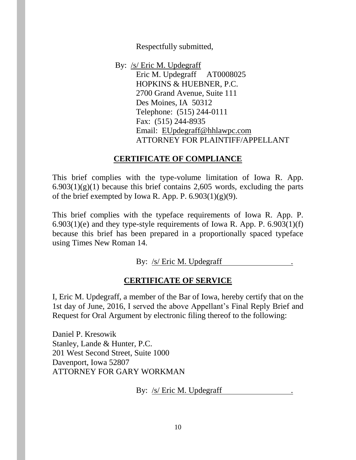Respectfully submitted,

By: /s/ Eric M. Updegraff Eric M. Updegraff AT0008025 HOPKINS & HUEBNER, P.C. 2700 Grand Avenue, Suite 111 Des Moines, IA 50312 Telephone: (515) 244-0111 Fax: (515) 244-8935 Email: [EUpdegraff@hhlawpc.com](mailto:EUpdegraff@hhlawpc.com) ATTORNEY FOR PLAINTIFF/APPELLANT

# **CERTIFICATE OF COMPLIANCE**

This brief complies with the type-volume limitation of Iowa R. App.  $6.903(1)(g)(1)$  because this brief contains 2,605 words, excluding the parts of the brief exempted by Iowa R. App. P.  $6.903(1)(g)(9)$ .

This brief complies with the typeface requirements of Iowa R. App. P.  $6.903(1)(e)$  and they type-style requirements of Iowa R. App. P.  $6.903(1)(f)$ because this brief has been prepared in a proportionally spaced typeface using Times New Roman 14.

By: /s/ Eric M. Updegraff

# **CERTIFICATE OF SERVICE**

I, Eric M. Updegraff, a member of the Bar of Iowa, hereby certify that on the 1st day of June, 2016, I served the above Appellant's Final Reply Brief and Request for Oral Argument by electronic filing thereof to the following:

Daniel P. Kresowik Stanley, Lande & Hunter, P.C. 201 West Second Street, Suite 1000 Davenport, Iowa 52807 ATTORNEY FOR GARY WORKMAN

By: /s/ Eric M. Updegraff